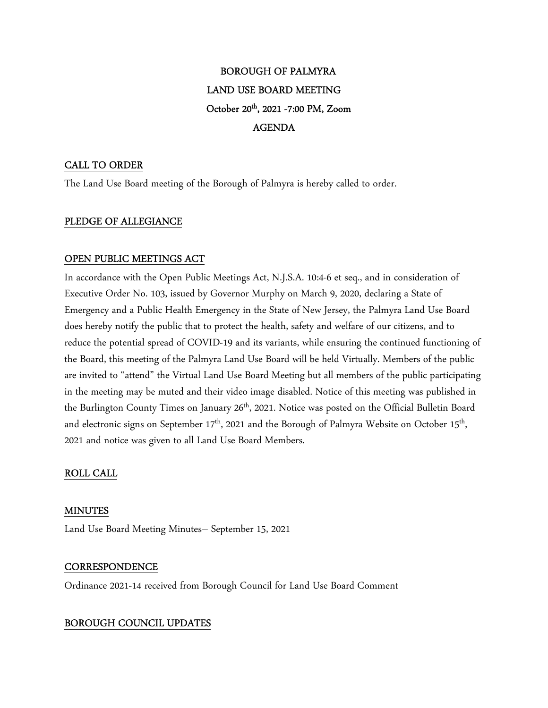# BOROUGH OF PALMYRA LAND USE BOARD MEETING October 20<sup>th</sup>, 2021 -7:00 PM, Zoom AGENDA

# CALL TO ORDER

The Land Use Board meeting of the Borough of Palmyra is hereby called to order.

# PLEDGE OF ALLEGIANCE

# OPEN PUBLIC MEETINGS ACT

In accordance with the Open Public Meetings Act, N.J.S.A. 10:4-6 et seq., and in consideration of Executive Order No. 103, issued by Governor Murphy on March 9, 2020, declaring a State of Emergency and a Public Health Emergency in the State of New Jersey, the Palmyra Land Use Board does hereby notify the public that to protect the health, safety and welfare of our citizens, and to reduce the potential spread of COVID-19 and its variants, while ensuring the continued functioning of the Board, this meeting of the Palmyra Land Use Board will be held Virtually. Members of the public are invited to "attend" the Virtual Land Use Board Meeting but all members of the public participating in the meeting may be muted and their video image disabled. Notice of this meeting was published in the Burlington County Times on January 26<sup>th</sup>, 2021. Notice was posted on the Official Bulletin Board and electronic signs on September 17<sup>th</sup>, 2021 and the Borough of Palmyra Website on October 15<sup>th</sup>, 2021 and notice was given to all Land Use Board Members.

# ROLL CALL

# MINUTES

Land Use Board Meeting Minutes– September 15, 2021

# **CORRESPONDENCE**

Ordinance 2021-14 received from Borough Council for Land Use Board Comment

# BOROUGH COUNCIL UPDATES